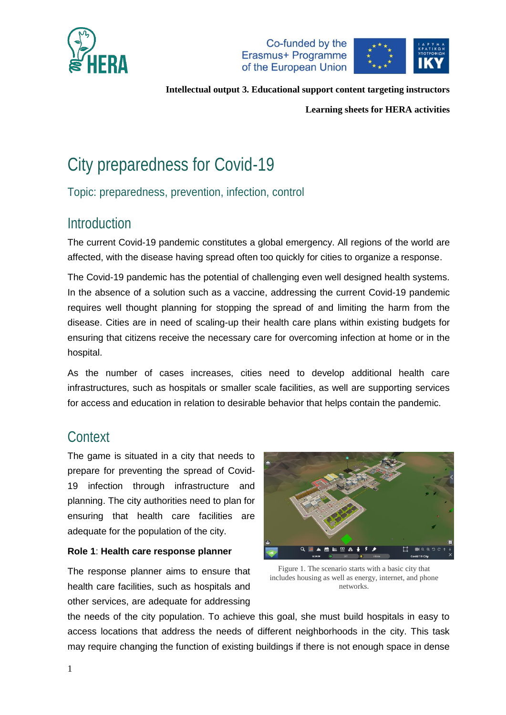





**Learning sheets for HERA activities**

# City preparedness for Covid-19

Topic: preparedness, prevention, infection, control

# Introduction

The current Covid-19 pandemic constitutes a global emergency. All regions of the world are affected, with the disease having spread often too quickly for cities to organize a response.

The Covid-19 pandemic has the potential of challenging even well designed health systems. In the absence of a solution such as a vaccine, addressing the current Covid-19 pandemic requires well thought planning for stopping the spread of and limiting the harm from the disease. Cities are in need of scaling-up their health care plans within existing budgets for ensuring that citizens receive the necessary care for overcoming infection at home or in the hospital.

As the number of cases increases, cities need to develop additional health care infrastructures, such as hospitals or smaller scale facilities, as well are supporting services for access and education in relation to desirable behavior that helps contain the pandemic.

# **Context**

The game is situated in a city that needs to prepare for preventing the spread of Covid-19 infection through infrastructure and planning. The city authorities need to plan for ensuring that health care facilities are adequate for the population of the city.

### **Role 1**: **Health care response planner**

The response planner aims to ensure that health care facilities, such as hospitals and other services, are adequate for addressing



Figure 1. The scenario starts with a basic city that includes housing as well as energy, internet, and phone networks.

the needs of the city population. To achieve this goal, she must build hospitals in easy to access locations that address the needs of different neighborhoods in the city. This task may require changing the function of existing buildings if there is not enough space in dense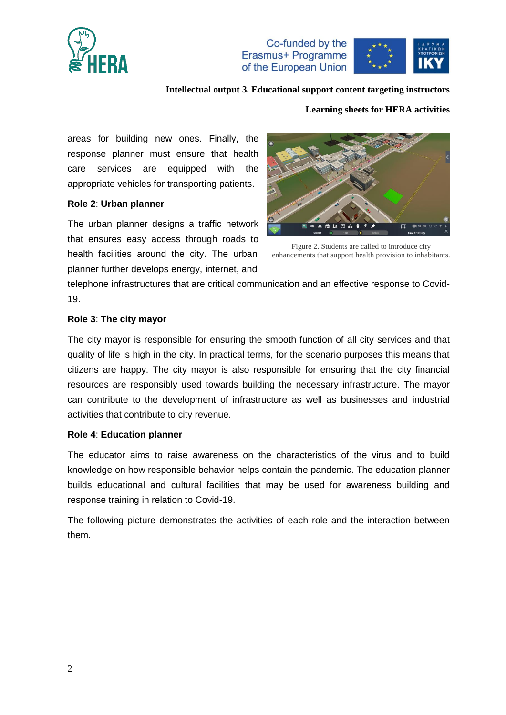





#### **Learning sheets for HERA activities**

areas for building new ones. Finally, the response planner must ensure that health care services are equipped with the appropriate vehicles for transporting patients.

#### **Role 2**: **Urban planner**

The urban planner designs a traffic network that ensures easy access through roads to health facilities around the city. The urban planner further develops energy, internet, and



Figure 2. Students are called to introduce city enhancements that support health provision to inhabitants.

telephone infrastructures that are critical communication and an effective response to Covid-19.

### **Role 3**: **The city mayor**

The city mayor is responsible for ensuring the smooth function of all city services and that quality of life is high in the city. In practical terms, for the scenario purposes this means that citizens are happy. The city mayor is also responsible for ensuring that the city financial resources are responsibly used towards building the necessary infrastructure. The mayor can contribute to the development of infrastructure as well as businesses and industrial activities that contribute to city revenue.

#### **Role 4**: **Education planner**

The educator aims to raise awareness on the characteristics of the virus and to build knowledge on how responsible behavior helps contain the pandemic. The education planner builds educational and cultural facilities that may be used for awareness building and response training in relation to Covid-19.

The following picture demonstrates the activities of each role and the interaction between them.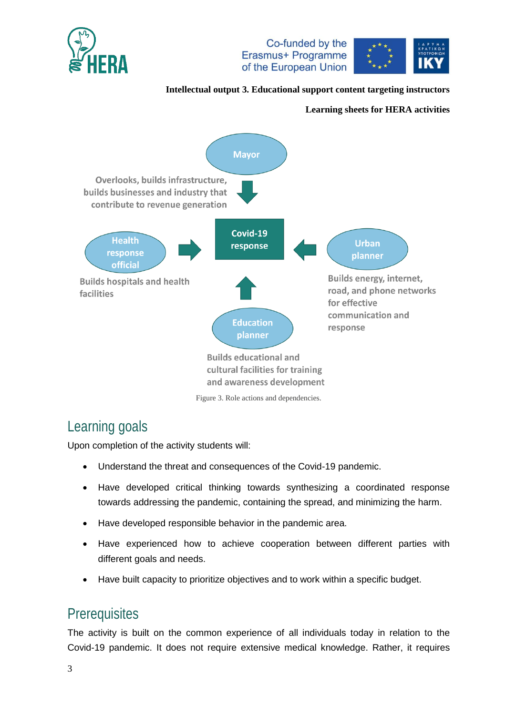





### **Learning sheets for HERA activities**



Figure 3. Role actions and dependencies.

# Learning goals

Upon completion of the activity students will:

- Understand the threat and consequences of the Covid-19 pandemic.
- Have developed critical thinking towards synthesizing a coordinated response towards addressing the pandemic, containing the spread, and minimizing the harm.
- Have developed responsible behavior in the pandemic area.
- Have experienced how to achieve cooperation between different parties with different goals and needs.
- Have built capacity to prioritize objectives and to work within a specific budget.

# **Prerequisites**

The activity is built on the common experience of all individuals today in relation to the Covid-19 pandemic. It does not require extensive medical knowledge. Rather, it requires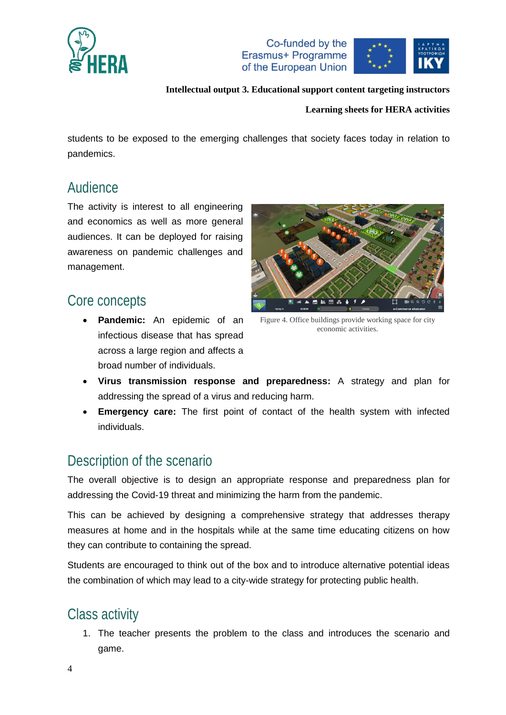





#### **Learning sheets for HERA activities**

students to be exposed to the emerging challenges that society faces today in relation to pandemics.

### Audience

The activity is interest to all engineering and economics as well as more general audiences. It can be deployed for raising awareness on pandemic challenges and management.

### Core concepts

 **Pandemic:** An epidemic of an infectious disease that has spread across a large region and affects a broad number of individuals.



Figure 4. Office buildings provide working space for city economic activities.

- **Virus transmission response and preparedness:** A strategy and plan for addressing the spread of a virus and reducing harm.
- **Emergency care:** The first point of contact of the health system with infected individuals.

### Description of the scenario

The overall objective is to design an appropriate response and preparedness plan for addressing the Covid-19 threat and minimizing the harm from the pandemic.

This can be achieved by designing a comprehensive strategy that addresses therapy measures at home and in the hospitals while at the same time educating citizens on how they can contribute to containing the spread.

Students are encouraged to think out of the box and to introduce alternative potential ideas the combination of which may lead to a city-wide strategy for protecting public health.

# Class activity

1. The teacher presents the problem to the class and introduces the scenario and game.